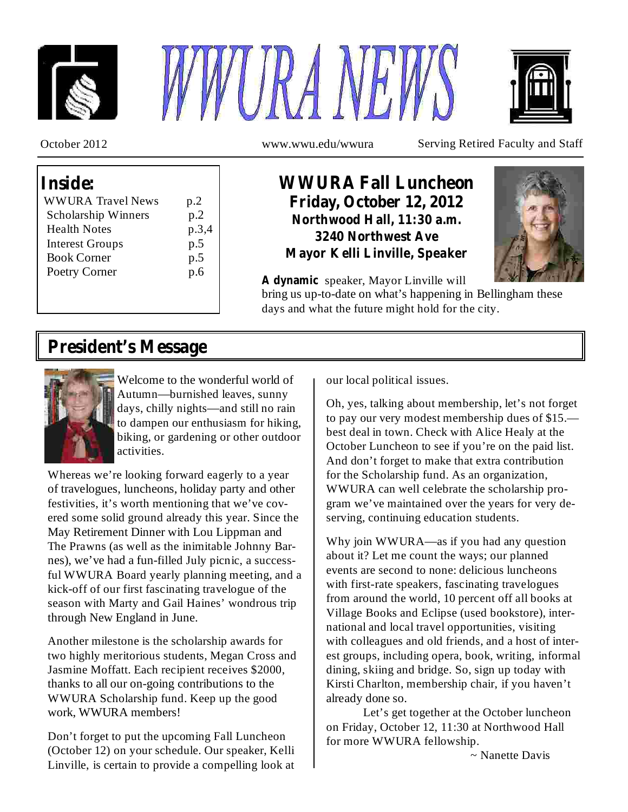





October 2012 www.wwu.edu/wwura Serving Retired Faculty and Staff

| <b>Inside:</b>           |       |
|--------------------------|-------|
| <b>WWURA Travel News</b> | p.2   |
| Scholarship Winners      | p.2   |
| <b>Health Notes</b>      | p.3,4 |
| <b>Interest Groups</b>   | p.5   |
| <b>Book Corner</b>       | p.5   |
| Poetry Corner            | p.6   |
|                          |       |

**WWURA Fall Luncheon Friday, October 12, 2012 Northwood Hall, 11:30 a.m. 3240 Northwest Ave Mayor Kelli Linville, Speaker**



A dynamic speaker, Mayor Linville will bring us up-to-date on what's happening in Bellingham these days and what the future might hold for the city.

# **President's Message**



Welcome to the wonderful world of Autumn—burnished leaves, sunny days, chilly nights—and still no rain to dampen our enthusiasm for hiking, biking, or gardening or other outdoor activities.

Whereas we're looking forward eagerly to a year of travelogues, luncheons, holiday party and other festivities, it's worth mentioning that we've covered some solid ground already this year. Since the May Retirement Dinner with Lou Lippman and The Prawns (as well as the inimitable Johnny Barnes), we've had a fun-filled July picnic, a successful WWURA Board yearly planning meeting, and a kick-off of our first fascinating travelogue of the season with Marty and Gail Haines' wondrous trip through New England in June.

Another milestone is the scholarship awards for two highly meritorious students, Megan Cross and Jasmine Moffatt. Each recipient receives \$2000, thanks to all our on-going contributions to the WWURA Scholarship fund. Keep up the good work, WWURA members!

Don't forget to put the upcoming Fall Luncheon (October 12) on your schedule. Our speaker, Kelli Linville, is certain to provide a compelling look at our local political issues.

Oh, yes, talking about membership, let's not forget to pay our very modest membership dues of \$15. best deal in town. Check with Alice Healy at the October Luncheon to see if you're on the paid list. And don't forget to make that extra contribution for the Scholarship fund. As an organization, WWURA can well celebrate the scholarship program we've maintained over the years for very deserving, continuing education students.

Why join WWURA—as if you had any question about it? Let me count the ways; our planned events are second to none: delicious luncheons with first-rate speakers, fascinating travelogues from around the world, 10 percent off all books at Village Books and Eclipse (used bookstore), international and local travel opportunities, visiting with colleagues and old friends, and a host of interest groups, including opera, book, writing, informal dining, skiing and bridge. So, sign up today with Kirsti Charlton, membership chair, if you haven't already done so.

Let's get together at the October luncheon on Friday, October 12, 11:30 at Northwood Hall for more WWURA fellowship.

~ Nanette Davis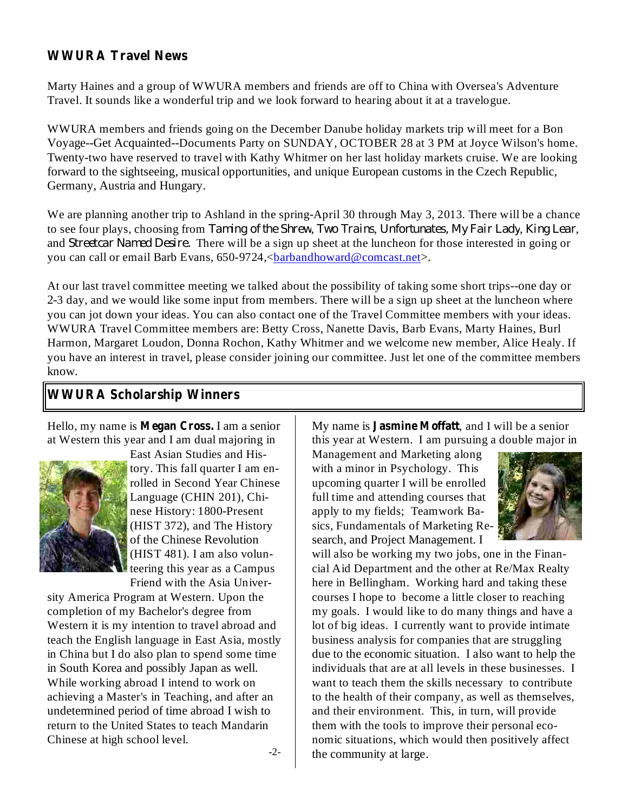# **WWURA Travel News**

Marty Haines and a group of WWURA members and friends are off to China with Oversea's Adventure Travel. It sounds like a wonderful trip and we look forward to hearing about it at a travelogue.

WWURA members and friends going on the December Danube holiday markets trip will meet for a Bon Voyage--Get Acquainted--Documents Party on SUNDAY, OCTOBER 28 at 3 PM at Joyce Wilson's home. Twenty-two have reserved to travel with Kathy Whitmer on her last holiday markets cruise. We are looking forward to the sightseeing, musical opportunities, and unique European customs in the Czech Republic, Germany, Austria and Hungary.

We are planning another trip to Ashland in the spring-April 30 through May 3, 2013. There will be a chance to see four plays, choosing from , , , , *Taming of the Shrew Two Trains Unfortunates, My Fair Lady King Lear* and *Streetcar Named Desire*. There will be a sign up sheet at the luncheon for those interested in going or you can call or email Barb Evans, 650-9724, <br/>barbandhoward@comcast.net>.

At our last travel committee meeting we talked about the possibility of taking some short trips--one day or 2-3 day, and we would like some input from members. There will be a sign up sheet at the luncheon where you can jot down your ideas. You can also contact one of the Travel Committee members with your ideas. WWURA Travel Committee members are: Betty Cross, Nanette Davis, Barb Evans, Marty Haines, Burl Harmon, Margaret Loudon, Donna Rochon, Kathy Whitmer and we welcome new member, Alice Healy. If you have an interest in travel, please consider joining our committee. Just let one of the committee members know.

# **WWURA Scholarship Winners**

Hello, my name is **Megan Cross.** I am a senior at Western this year and I am dual majoring in



East Asian Studies and History. This fall quarter I am enrolled in Second Year Chinese Language (CHIN 201), Chinese History: 1800-Present (HIST 372), and The History of the Chinese Revolution (HIST 481). I am also volunteering this year as a Campus Friend with the Asia Univer-

sity America Program at Western. Upon the completion of my Bachelor's degree from Western it is my intention to travel abroad and teach the English language in East Asia, mostly in China but I do also plan to spend some time in South Korea and possibly Japan as well. While working abroad I intend to work on achieving a Master's in Teaching, and after an undetermined period of time abroad I wish to return to the United States to teach Mandarin Chinese at high school level.

My name is **Jasmine Moffatt**, and I will be a senior this year at Western. I am pursuing a double major in

Management and Marketing along with a minor in Psychology. This upcoming quarter I will be enrolled full time and attending courses that apply to my fields; Teamwork Basics, Fundamentals of Marketing Research, and Project Management. I



will also be working my two jobs, one in the Financial Aid Department and the other at Re/Max Realty here in Bellingham. Working hard and taking these courses I hope to become a little closer to reaching my goals. I would like to do many things and have a lot of big ideas. I currently want to provide intimate business analysis for companies that are struggling due to the economic situation. I also want to help the individuals that are at all levels in these businesses. I want to teach them the skills necessary to contribute to the health of their company, as well as themselves, and their environment. This, in turn, will provide them with the tools to improve their personal economic situations, which would then positively affect the community at large.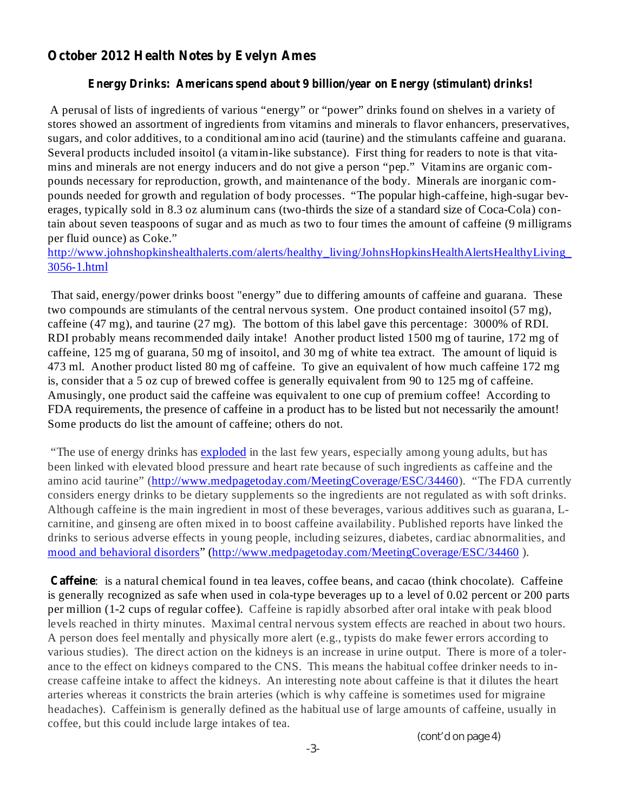### **October 2012 Health Notes by Evelyn Ames**

#### **Energy Drinks: Americans spend about 9 billion/year on Energy (stimulant) drinks!**

A perusal of lists of ingredients of various "energy" or "power" drinks found on shelves in a variety of stores showed an assortment of ingredients from vitamins and minerals to flavor enhancers, preservatives, sugars, and color additives, to a conditional amino acid (taurine) and the stimulants caffeine and guarana. Several products included insoitol (a vitamin-like substance). First thing for readers to note is that vitamins and minerals are not energy inducers and do not give a person "pep." Vitamins are organic compounds necessary for reproduction, growth, and maintenance of the body. Minerals are inorganic compounds needed for growth and regulation of body processes. "The popular high-caffeine, high-sugar beverages, typically sold in 8.3 oz aluminum cans (two-thirds the size of a standard size of Coca-Cola) contain about seven teaspoons of sugar and as much as two to four times the amount of caffeine (9 milligrams per fluid ounce) as Coke."

#### http://www.johnshopkinshealthalerts.com/alerts/healthy\_living/JohnsHopkinsHealthAlertsHealthyLiving\_ 3056-1.html

That said, energy/power drinks boost "energy" due to differing amounts of caffeine and guarana. These two compounds are stimulants of the central nervous system. One product contained insoitol (57 mg), caffeine (47 mg), and taurine (27 mg). The bottom of this label gave this percentage: 3000% of RDI. RDI probably means recommended daily intake! Another product listed 1500 mg of taurine, 172 mg of caffeine, 125 mg of guarana, 50 mg of insoitol, and 30 mg of white tea extract. The amount of liquid is 473 ml. Another product listed 80 mg of caffeine. To give an equivalent of how much caffeine 172 mg is, consider that a 5 oz cup of brewed coffee is generally equivalent from 90 to 125 mg of caffeine. Amusingly, one product said the caffeine was equivalent to one cup of premium coffee! According to FDA requirements, the presence of caffeine in a product has to be listed but not necessarily the amount! Some products do list the amount of caffeine; others do not.

"The use of energy drinks has exploded in the last few years, especially among young adults, but has been linked with elevated blood pressure and heart rate because of such ingredients as caffeine and the amino acid taurine" (http://www.medpagetoday.com/MeetingCoverage/ESC/34460). "The FDA currently considers energy drinks to be dietary supplements so the ingredients are not regulated as with soft drinks. Although caffeine is the main ingredient in most of these beverages, various additives such as guarana, Lcarnitine, and ginseng are often mixed in to boost caffeine availability. Published reports have linked the drinks to serious adverse effects in young people, including seizures, diabetes, cardiac abnormalities, and mood and behavioral disorders" (http://www.medpagetoday.com/MeetingCoverage/ESC/34460 ).

**Caffeine** : is a natural chemical found in tea leaves, coffee beans, and cacao (think chocolate). Caffeine is generally recognized as safe when used in cola-type beverages up to a level of 0.02 percent or 200 parts per million (1-2 cups of regular coffee). Caffeine is rapidly absorbed after oral intake with peak blood levels reached in thirty minutes. Maximal central nervous system effects are reached in about two hours. A person does feel mentally and physically more alert (e.g., typists do make fewer errors according to various studies). The direct action on the kidneys is an increase in urine output. There is more of a tolerance to the effect on kidneys compared to the CNS. This means the habitual coffee drinker needs to increase caffeine intake to affect the kidneys. An interesting note about caffeine is that it dilutes the heart arteries whereas it constricts the brain arteries (which is why caffeine is sometimes used for migraine headaches). Caffeinism is generally defined as the habitual use of large amounts of caffeine, usually in coffee, but this could include large intakes of tea.

*(cont'd on page 4)*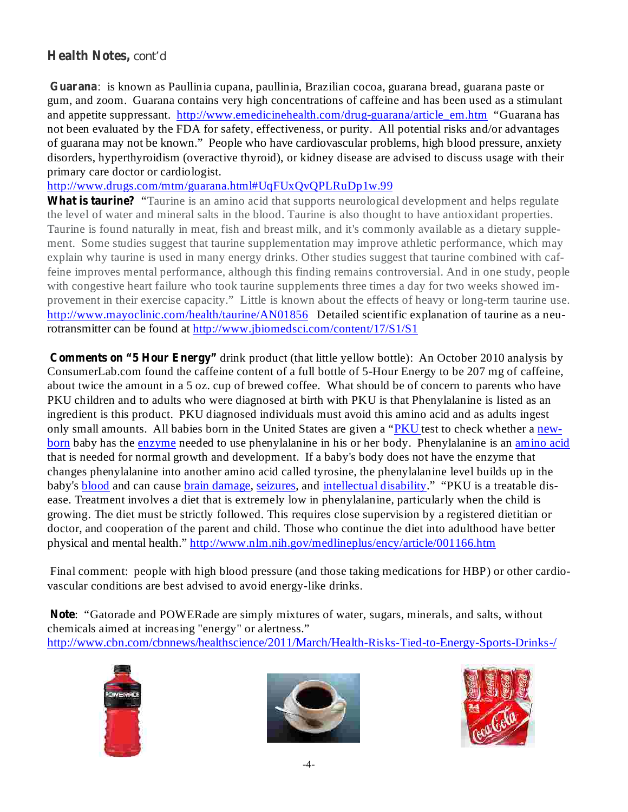## **Health Notes,** *cont'd*

**Guarana** : is known as Paullinia cupana, paullinia, Brazilian cocoa, guarana bread, guarana paste or gum, and zoom. Guarana contains very high concentrations of caffeine and has been used as a stimulant and appetite suppressant. http://www.emedicinehealth.com/drug-guarana/article\_em.htm "Guarana has not been evaluated by the FDA for safety, effectiveness, or purity. All potential risks and/or advantages of guarana may not be known." People who have cardiovascular problems, high blood pressure, anxiety disorders, hyperthyroidism (overactive thyroid), or kidney disease are advised to discuss usage with their primary care doctor or cardiologist.

#### http://www.drugs.com/mtm/guarana.html#UqFUxQvQPLRuDp1w.99

What is taurine? "Taurine is an amino acid that supports neurological development and helps regulate the level of water and mineral salts in the blood. Taurine is also thought to have antioxidant properties. Taurine is found naturally in meat, fish and breast milk, and it's commonly available as a dietary supplement. Some studies suggest that taurine supplementation may improve athletic performance, which may explain why taurine is used in many energy drinks. Other studies suggest that taurine combined with caffeine improves mental performance, although this finding remains controversial. And in one study, people with congestive heart failure who took taurine supplements three times a day for two weeks showed improvement in their exercise capacity." Little is known about the effects of heavy or long-term taurine use. http://www.mayoclinic.com/health/taurine/AN01856 Detailed scientific explanation of taurine as a neurotransmitter can be found at http://www.jbiomedsci.com/content/17/S1/S1

**Comments on "5 Hour Energy"** drink product (that little yellow bottle): An October 2010 analysis by ConsumerLab.com found the caffeine content of a full bottle of 5-Hour Energy to be 207 mg of caffeine, about twice the amount in a 5 oz. cup of brewed coffee. What should be of concern to parents who have PKU children and to adults who were diagnosed at birth with PKU is that Phenylalanine is listed as an ingredient is this product. PKU diagnosed individuals must avoid this amino acid and as adults ingest only small amounts. All babies born in the United States are given a "PKU test to check whether a newborn baby has the enzyme needed to use phenylalanine in his or her body. Phenylalanine is an amino acid that is needed for normal growth and development. If a baby's body does not have the enzyme that changes phenylalanine into another amino acid called tyrosine, the phenylalanine level builds up in the baby's blood and can cause brain damage, seizures, and intellectual disability." "PKU is a treatable disease. Treatment involves a diet that is extremely low in phenylalanine, particularly when the child is growing. The diet must be strictly followed. This requires close supervision by a registered dietitian or doctor, and cooperation of the parent and child. Those who continue the diet into adulthood have better physical and mental health." http://www.nlm.nih.gov/medlineplus/ency/article/001166.htm

Final comment: people with high blood pressure (and those taking medications for HBP) or other cardiovascular conditions are best advised to avoid energy-like drinks.

**Note** : "Gatorade and POWERade are simply mixtures of water, sugars, minerals, and salts, without chemicals aimed at increasing "energy" or alertness." http://www.cbn.com/cbnnews/healthscience/2011/March/Health-Risks-Tied-to-Energy-Sports-Drinks-/





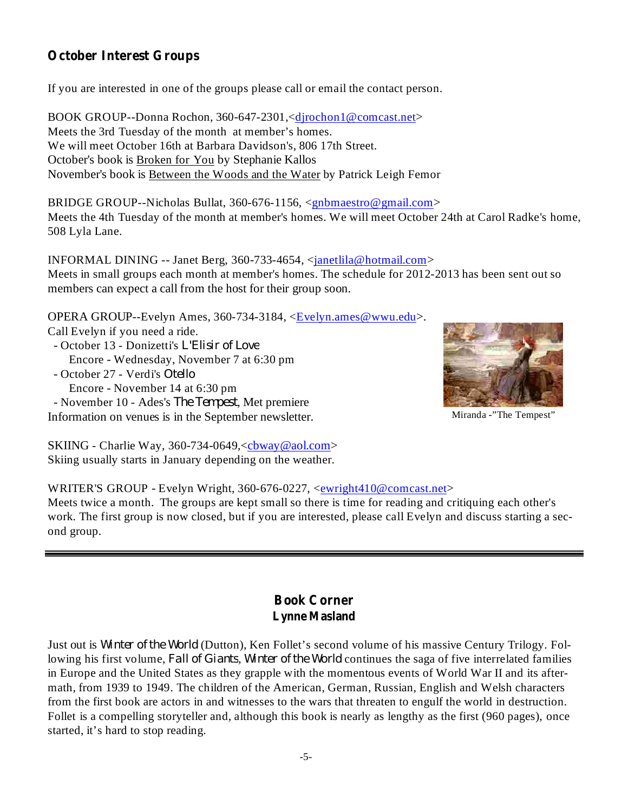# **October Interest Groups**

If you are interested in one of the groups please call or email the contact person.

BOOK GROUP--Donna Rochon, 360-647-2301,<djrochon1@comcast.net> Meets the 3rd Tuesday of the month at member's homes. We will meet October 16th at Barbara Davidson's, 806 17th Street. October's book is Broken for You by Stephanie Kallos November's book is Between the Woods and the Water by Patrick Leigh Femor

BRIDGE GROUP--Nicholas Bullat, 360-676-1156, <gnbmaestro@gmail.com> Meets the 4th Tuesday of the month at member's homes. We will meet October 24th at Carol Radke's home, 508 Lyla Lane.

INFORMAL DINING -- Janet Berg, 360-733-4654, <janetlila@hotmail.com> Meets in small groups each month at member's homes. The schedule for 2012-2013 has been sent out so members can expect a call from the host for their group soon.

OPERA GROUP--Evelyn Ames, 360-734-3184, <Evelyn.ames@wwu.edu>.

Call Evelyn if you need a ride.

- October 13 Donizetti's *L'Elisir of Love*
- Encore Wednesday, November 7 at 6:30 pm
- October 27 Verdi's *Otello*
	- Encore November 14 at 6:30 pm

- November 10 - Ades's *The Tempest*, Met premiere

Information on venues is in the September newsletter.



Miranda -"The Tempest"

SKIING - Charlie Way, 360-734-0649, <cbway@aol.com> Skiing usually starts in January depending on the weather.

WRITER'S GROUP - Evelyn Wright, 360-676-0227, <ewright410@comcast.net>

Meets twice a month. The groups are kept small so there is time for reading and critiquing each other's work. The first group is now closed, but if you are interested, please call Evelyn and discuss starting a second group.

## **Book Corner Lynne Masland**

Just out is *Winter of the World* (Dutton), Ken Follet's second volume of his massive Century Trilogy. Following his first volume, *Fall of Giants*, *Winter of the World* continues the saga of five interrelated families in Europe and the United States as they grapple with the momentous events of World War II and its aftermath, from 1939 to 1949. The children of the American, German, Russian, English and Welsh characters from the first book are actors in and witnesses to the wars that threaten to engulf the world in destruction. Follet is a compelling storyteller and, although this book is nearly as lengthy as the first (960 pages), once started, it's hard to stop reading.